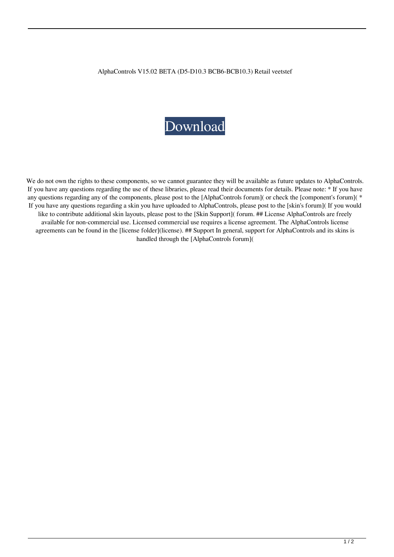AlphaControls V15.02 BETA (D5-D10.3 BCB6-BCB10.3) Retail veetstef

## [Download](http://evacdir.com/fiborn/pernambucano?ZG93bmxvYWR8Rk03TVdRd01YeDhNVFkxTWpRMk16QTFNSHg4TWpVM05IeDhLRTBwSUhKbFlXUXRZbXh2WnlCYlJtRnpkQ0JIUlU1ZA=QWxwaGFDb250cm9scyB2MTUuMDIgQkVUQSAoRDUtRDEwLjMgQkNCNi1CQ0IxMC4zKSBSZXRhaWwQWx/datum&poker=podiatry)

We do not own the rights to these components, so we cannot guarantee they will be available as future updates to AlphaControls. If you have any questions regarding the use of these libraries, please read their documents for details. Please note: \* If you have any questions regarding any of the components, please post to the [AlphaControls forum]( or check the [component's forum](  $*$ If you have any questions regarding a skin you have uploaded to AlphaControls, please post to the [skin's forum]( If you would like to contribute additional skin layouts, please post to the [Skin Support]( forum. ## License AlphaControls are freely available for non-commercial use. Licensed commercial use requires a license agreement. The AlphaControls license agreements can be found in the [license folder](license). ## Support In general, support for AlphaControls and its skins is handled through the [AlphaControls forum](